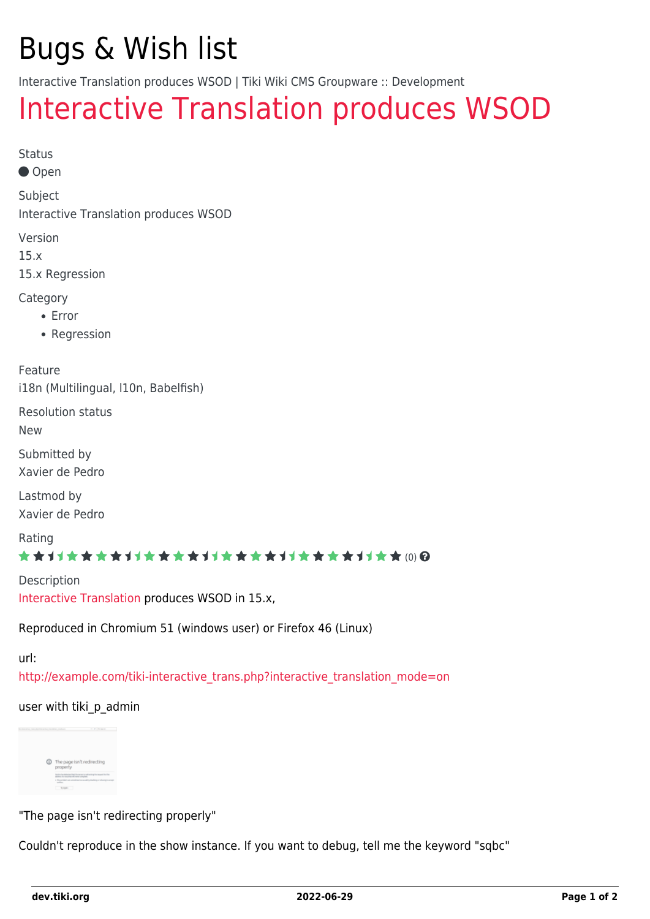# Bugs & Wish list

Interactive Translation produces WSOD | Tiki Wiki CMS Groupware :: Development

## [Interactive Translation produces WSOD](https://dev.tiki.org/item6016-Interactive-Translation-produces-WSOD)

```
Status
```
● Open

Subject

Interactive Translation produces WSOD

Version

15.x

15.x Regression

#### **Category**

- Error
- Regression

Feature i18n (Multilingual, l10n, Babelfish)

Resolution status

New

Submitted by Xavier de Pedro

Lastmod by Xavier de Pedro

Rating

#### \*\*\*\*\*\*\*\*\*\*\*\*\*\*\*\*\*\*\*\*\*\*\*\*\*\*\*\*\*\*

**Description** [Interactive Translation](http://doc.tiki.org/Interactive%20Translation) produces WSOD in 15.x,

Reproduced in Chromium 51 (windows user) or Firefox 46 (Linux)

url:

[http://example.com/tiki-interactive\\_trans.php?interactive\\_translation\\_mode=on](http://example.com/tiki-interactive_trans.php?interactive_translation_mode=on)

#### user with tiki p admin



"The page isn't redirecting properly"

Couldn't reproduce in the show instance. If you want to debug, tell me the keyword "sqbc"